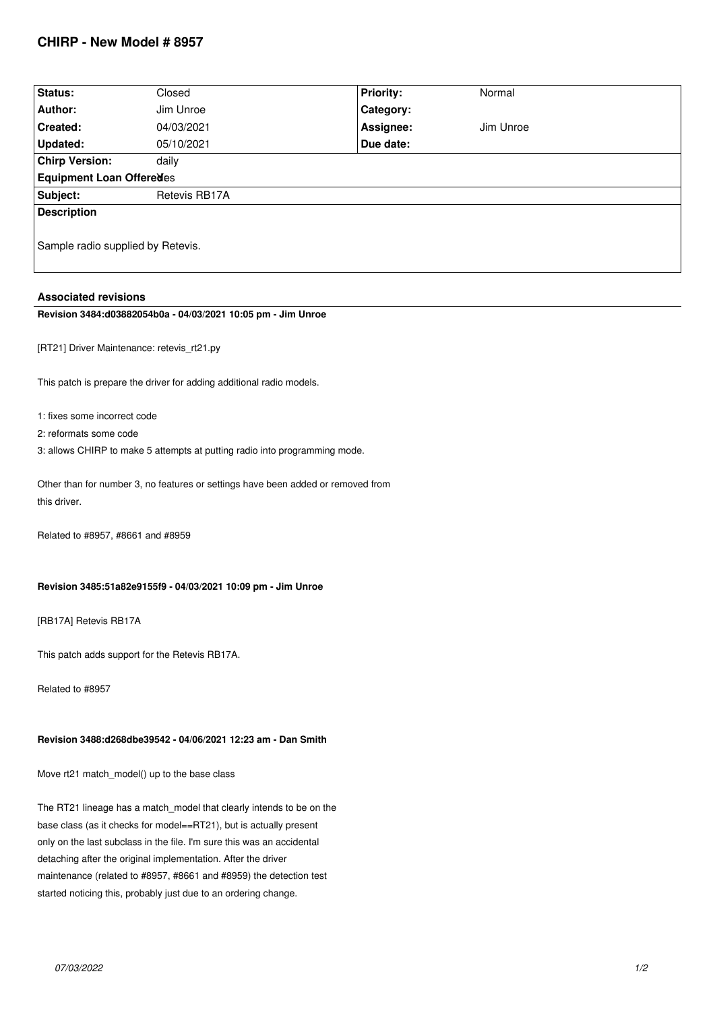# **CHIRP - New Model # 8957**

| Status:                           | Closed        | <b>Priority:</b> | Normal    |
|-----------------------------------|---------------|------------------|-----------|
| Author:                           | Jim Unroe     | Category:        |           |
| <b>Created:</b>                   | 04/03/2021    | Assignee:        | Jim Unroe |
| Updated:                          | 05/10/2021    | Due date:        |           |
| <b>Chirp Version:</b>             | daily         |                  |           |
| Equipment Loan Offeredes          |               |                  |           |
| Subject:                          | Retevis RB17A |                  |           |
| <b>Description</b>                |               |                  |           |
|                                   |               |                  |           |
| Sample radio supplied by Retevis. |               |                  |           |
|                                   |               |                  |           |

#### **Associated revisions**

### **Revision 3484:d03882054b0a - 04/03/2021 10:05 pm - Jim Unroe**

*[RT21] Driver Maintenance: retevis\_rt21.py*

*This patch is prepare the driver for adding additional radio models.*

- *1: fixes some incorrect code*
- *2: reformats some code*
- *3: allows CHIRP to make 5 attempts at putting radio into programming mode.*

*Other than for number 3, no features or settings have been added or removed from this driver.*

*Related to #8957, #8661 and #8959*

#### **Revision 3485:51a82e9155f9 - 04/03/2021 10:09 pm - Jim Unroe**

*[RB17A] Retevis RB17A*

*This patch adds support for the Retevis RB17A.*

*Related to #8957*

### **Revision 3488:d268dbe39542 - 04/06/2021 12:23 am - Dan Smith**

*Move rt21 match\_model() up to the base class*

*The RT21 lineage has a match\_model that clearly intends to be on the base class (as it checks for model==RT21), but is actually present only on the last subclass in the file. I'm sure this was an accidental detaching after the original implementation. After the driver maintenance (related to #8957, #8661 and #8959) the detection test started noticing this, probably just due to an ordering change.*